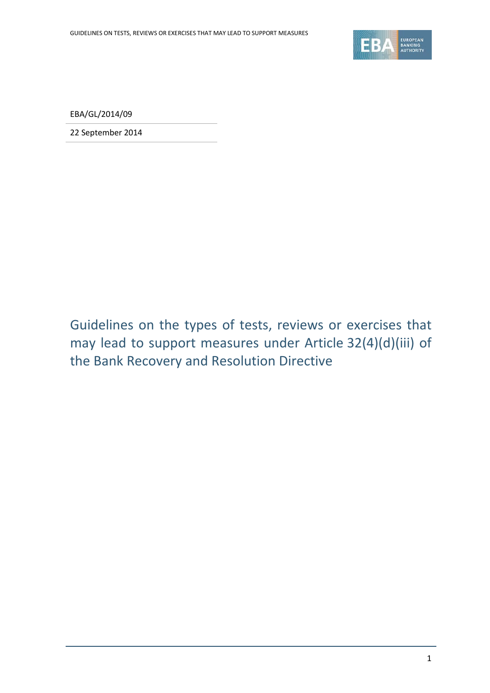

EBA/GL/2014/09

22 September 2014

Guidelines on the types of tests, reviews or exercises that may lead to support measures under Article 32(4)(d)(iii) of the Bank Recovery and Resolution Directive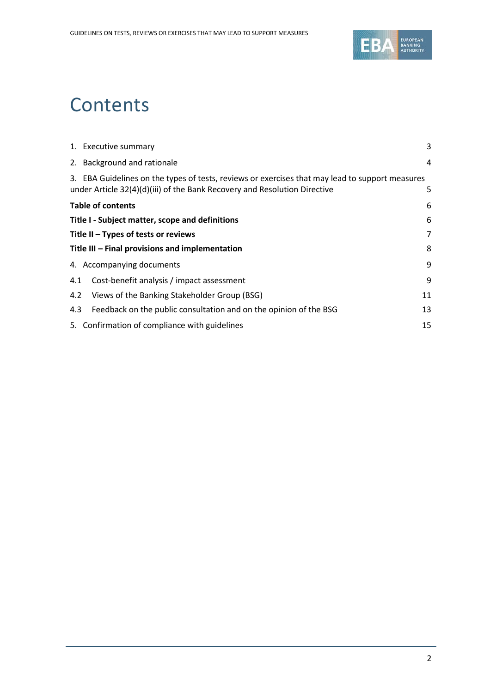

# **Contents**

|                                                 | 1. Executive summary                                                                                                                                                         | 3              |
|-------------------------------------------------|------------------------------------------------------------------------------------------------------------------------------------------------------------------------------|----------------|
|                                                 | 2. Background and rationale                                                                                                                                                  | 4              |
|                                                 | 3. EBA Guidelines on the types of tests, reviews or exercises that may lead to support measures<br>under Article 32(4)(d)(iii) of the Bank Recovery and Resolution Directive | 5              |
| <b>Table of contents</b>                        |                                                                                                                                                                              | 6              |
| Title I - Subject matter, scope and definitions |                                                                                                                                                                              | 6              |
| Title $II - Types$ of tests or reviews          |                                                                                                                                                                              | $\overline{7}$ |
| Title III - Final provisions and implementation |                                                                                                                                                                              | 8              |
|                                                 | 4. Accompanying documents                                                                                                                                                    | 9              |
| 4.1                                             | Cost-benefit analysis / impact assessment                                                                                                                                    | 9              |
| 4.2                                             | Views of the Banking Stakeholder Group (BSG)                                                                                                                                 | 11             |
| 4.3                                             | Feedback on the public consultation and on the opinion of the BSG                                                                                                            | 13             |
|                                                 | 5. Confirmation of compliance with guidelines                                                                                                                                | 15             |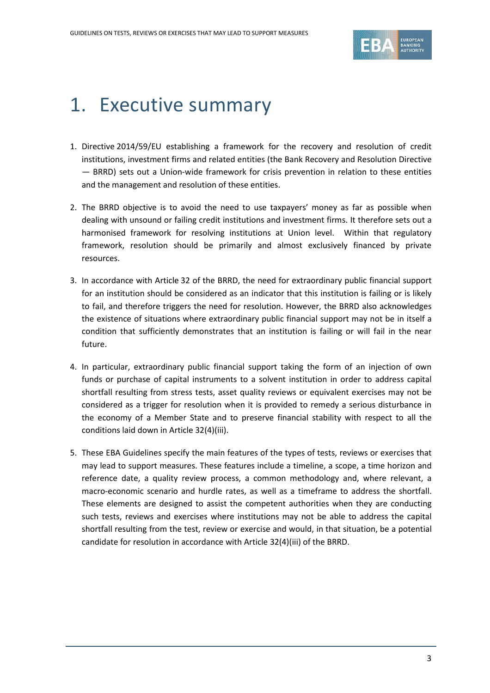

## 1. Executive summary

- 1. Directive 2014/59/EU establishing a framework for the recovery and resolution of credit institutions, investment firms and related entities (the Bank Recovery and Resolution Directive — BRRD) sets out a Union-wide framework for crisis prevention in relation to these entities and the management and resolution of these entities.
- 2. The BRRD objective is to avoid the need to use taxpayers' money as far as possible when dealing with unsound or failing credit institutions and investment firms. It therefore sets out a harmonised framework for resolving institutions at Union level. Within that regulatory framework, resolution should be primarily and almost exclusively financed by private resources.
- 3. In accordance with Article 32 of the BRRD, the need for extraordinary public financial support for an institution should be considered as an indicator that this institution is failing or is likely to fail, and therefore triggers the need for resolution. However, the BRRD also acknowledges the existence of situations where extraordinary public financial support may not be in itself a condition that sufficiently demonstrates that an institution is failing or will fail in the near future.
- 4. In particular, extraordinary public financial support taking the form of an injection of own funds or purchase of capital instruments to a solvent institution in order to address capital shortfall resulting from stress tests, asset quality reviews or equivalent exercises may not be considered as a trigger for resolution when it is provided to remedy a serious disturbance in the economy of a Member State and to preserve financial stability with respect to all the conditions laid down in Article 32(4)(iii).
- 5. These EBA Guidelines specify the main features of the types of tests, reviews or exercises that may lead to support measures. These features include a timeline, a scope, a time horizon and reference date, a quality review process, a common methodology and, where relevant, a macro-economic scenario and hurdle rates, as well as a timeframe to address the shortfall. These elements are designed to assist the competent authorities when they are conducting such tests, reviews and exercises where institutions may not be able to address the capital shortfall resulting from the test, review or exercise and would, in that situation, be a potential candidate for resolution in accordance with Article 32(4)(iii) of the BRRD.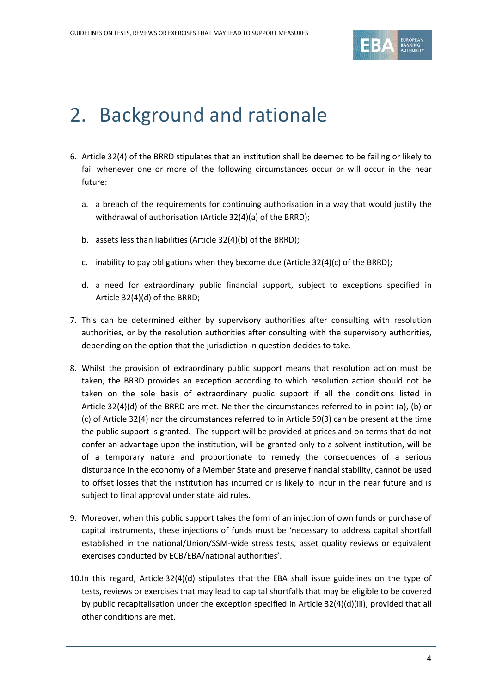

## 2. Background and rationale

- 6. Article 32(4) of the BRRD stipulates that an institution shall be deemed to be failing or likely to fail whenever one or more of the following circumstances occur or will occur in the near future:
	- a. a breach of the requirements for continuing authorisation in a way that would justify the withdrawal of authorisation (Article 32(4)(a) of the BRRD);
	- b. assets less than liabilities (Article 32(4)(b) of the BRRD);
	- c. inability to pay obligations when they become due (Article  $32(4)(c)$  of the BRRD);
	- d. a need for extraordinary public financial support, subject to exceptions specified in Article 32(4)(d) of the BRRD;
- 7. This can be determined either by supervisory authorities after consulting with resolution authorities, or by the resolution authorities after consulting with the supervisory authorities, depending on the option that the jurisdiction in question decides to take.
- 8. Whilst the provision of extraordinary public support means that resolution action must be taken, the BRRD provides an exception according to which resolution action should not be taken on the sole basis of extraordinary public support if all the conditions listed in Article 32(4)(d) of the BRRD are met. Neither the circumstances referred to in point (a), (b) or (c) of Article 32(4) nor the circumstances referred to in Article 59(3) can be present at the time the public support is granted. The support will be provided at prices and on terms that do not confer an advantage upon the institution, will be granted only to a solvent institution, will be of a temporary nature and proportionate to remedy the consequences of a serious disturbance in the economy of a Member State and preserve financial stability, cannot be used to offset losses that the institution has incurred or is likely to incur in the near future and is subject to final approval under state aid rules.
- 9. Moreover, when this public support takes the form of an injection of own funds or purchase of capital instruments, these injections of funds must be 'necessary to address capital shortfall established in the national/Union/SSM-wide stress tests, asset quality reviews or equivalent exercises conducted by ECB/EBA/national authorities'.
- 10.In this regard, Article 32(4)(d) stipulates that the EBA shall issue guidelines on the type of tests, reviews or exercises that may lead to capital shortfalls that may be eligible to be covered by public recapitalisation under the exception specified in Article 32(4)(d)(iii), provided that all other conditions are met.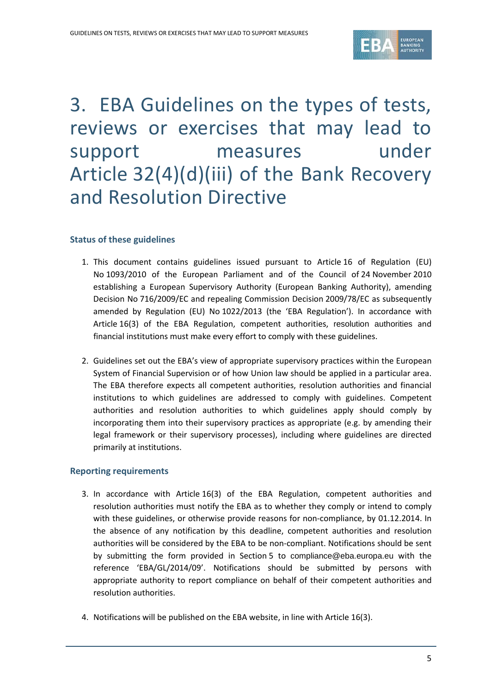

## 3. EBA Guidelines on the types of tests, reviews or exercises that may lead to support measures under Article 32(4)(d)(iii) of the Bank Recovery and Resolution Directive

#### **Status of these guidelines**

- 1. This document contains guidelines issued pursuant to Article 16 of Regulation (EU) No 1093/2010 of the European Parliament and of the Council of 24 November 2010 establishing a European Supervisory Authority (European Banking Authority), amending Decision No 716/2009/EC and repealing Commission Decision 2009/78/EC as subsequently amended by Regulation (EU) No 1022/2013 (the 'EBA Regulation'). In accordance with Article 16(3) of the EBA Regulation, competent authorities, resolution authorities and financial institutions must make every effort to comply with these guidelines.
- 2. Guidelines set out the EBA's view of appropriate supervisory practices within the European System of Financial Supervision or of how Union law should be applied in a particular area. The EBA therefore expects all competent authorities, resolution authorities and financial institutions to which guidelines are addressed to comply with guidelines. Competent authorities and resolution authorities to which guidelines apply should comply by incorporating them into their supervisory practices as appropriate (e.g. by amending their legal framework or their supervisory processes), including where guidelines are directed primarily at institutions.

#### **Reporting requirements**

- 3. In accordance with Article 16(3) of the EBA Regulation, competent authorities and resolution authorities must notify the EBA as to whether they comply or intend to comply with these guidelines, or otherwise provide reasons for non-compliance, by 01.12.2014. In the absence of any notification by this deadline, competent authorities and resolution authorities will be considered by the EBA to be non-compliant. Notifications should be sent by submitting the form provided in Section 5 to [compliance@eba.europa.eu](mailto:compliance@eba.europa.eu) with the reference 'EBA/GL/2014/09'. Notifications should be submitted by persons with appropriate authority to report compliance on behalf of their competent authorities and resolution authorities.
- 4. Notifications will be published on the EBA website, in line with Article 16(3).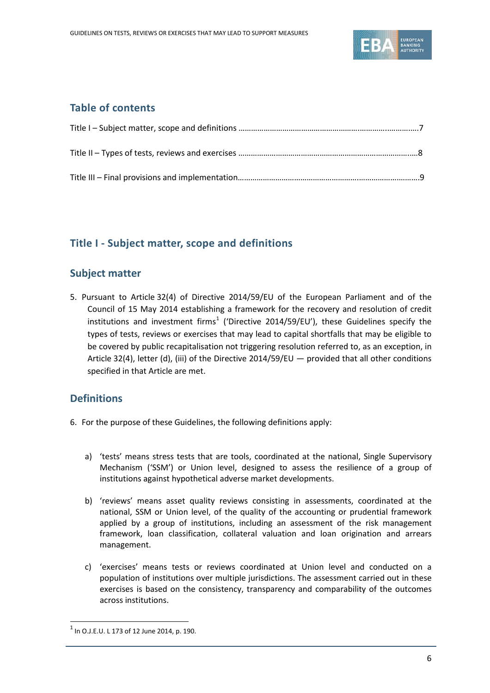

## **Table of contents**

## **Title I - Subject matter, scope and definitions**

### **Subject matter**

5. Pursuant to Article 32(4) of Directive 2014/59/EU of the European Parliament and of the Council of 15 May 2014 establishing a framework for the recovery and resolution of credit institutions and investment firms<sup>[1](#page-5-0)</sup> ('Directive 2014/59/EU'), these Guidelines specify the types of tests, reviews or exercises that may lead to capital shortfalls that may be eligible to be covered by public recapitalisation not triggering resolution referred to, as an exception, in Article 32(4), letter (d), (iii) of the Directive 2014/59/EU — provided that all other conditions specified in that Article are met.

## **Definitions**

- 6. For the purpose of these Guidelines, the following definitions apply:
	- a) 'tests' means stress tests that are tools, coordinated at the national, Single Supervisory Mechanism ('SSM') or Union level, designed to assess the resilience of a group of institutions against hypothetical adverse market developments.
	- b) 'reviews' means asset quality reviews consisting in assessments, coordinated at the national, SSM or Union level, of the quality of the accounting or prudential framework applied by a group of institutions, including an assessment of the risk management framework, loan classification, collateral valuation and loan origination and arrears management.
	- c) 'exercises' means tests or reviews coordinated at Union level and conducted on a population of institutions over multiple jurisdictions. The assessment carried out in these exercises is based on the consistency, transparency and comparability of the outcomes across institutions.

 $\overline{a}$ 

<span id="page-5-0"></span> $<sup>1</sup>$  In O.J.E.U. L 173 of 12 June 2014, p. 190.</sup>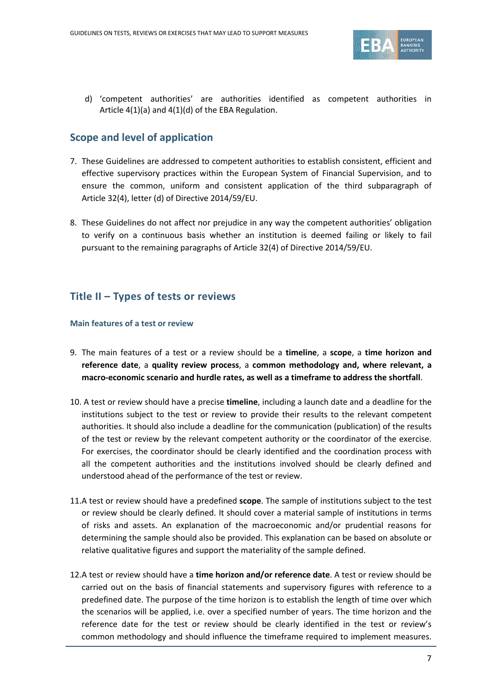

d) 'competent authorities' are authorities identified as competent authorities in Article 4(1)(a) and 4(1)(d) of the EBA Regulation.

## **Scope and level of application**

- 7. These Guidelines are addressed to competent authorities to establish consistent, efficient and effective supervisory practices within the European System of Financial Supervision, and to ensure the common, uniform and consistent application of the third subparagraph of Article 32(4), letter (d) of Directive 2014/59/EU.
- 8. These Guidelines do not affect nor prejudice in any way the competent authorities' obligation to verify on a continuous basis whether an institution is deemed failing or likely to fail pursuant to the remaining paragraphs of Article 32(4) of Directive 2014/59/EU.

## **Title II – Types of tests or reviews**

#### **Main features of a test or review**

- 9. The main features of a test or a review should be a **timeline**, a **scope**, a **time horizon and reference date**, a **quality review process**, a **common methodology and, where relevant, a macro-economic scenario and hurdle rates, as well as a timeframe to address the shortfall**.
- 10. A test or review should have a precise **timeline**, including a launch date and a deadline for the institutions subject to the test or review to provide their results to the relevant competent authorities. It should also include a deadline for the communication (publication) of the results of the test or review by the relevant competent authority or the coordinator of the exercise. For exercises, the coordinator should be clearly identified and the coordination process with all the competent authorities and the institutions involved should be clearly defined and understood ahead of the performance of the test or review.
- 11.A test or review should have a predefined **scope**. The sample of institutions subject to the test or review should be clearly defined. It should cover a material sample of institutions in terms of risks and assets. An explanation of the macroeconomic and/or prudential reasons for determining the sample should also be provided. This explanation can be based on absolute or relative qualitative figures and support the materiality of the sample defined.
- 12.A test or review should have a **time horizon and/or reference date**. A test or review should be carried out on the basis of financial statements and supervisory figures with reference to a predefined date. The purpose of the time horizon is to establish the length of time over which the scenarios will be applied, i.e. over a specified number of years. The time horizon and the reference date for the test or review should be clearly identified in the test or review's common methodology and should influence the timeframe required to implement measures.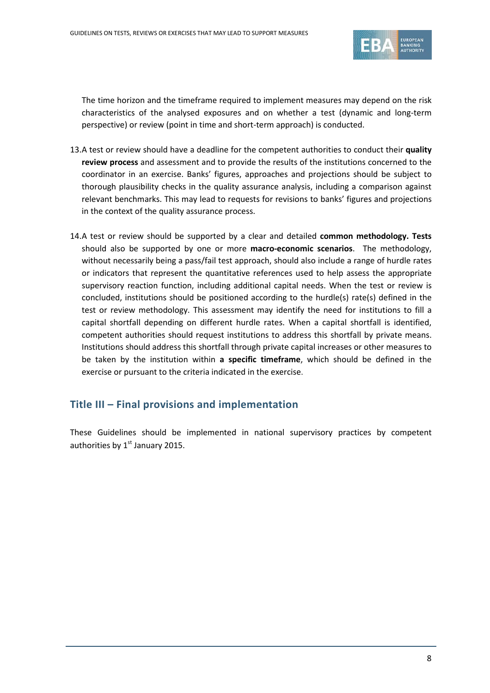

The time horizon and the timeframe required to implement measures may depend on the risk characteristics of the analysed exposures and on whether a test (dynamic and long-term perspective) or review (point in time and short-term approach) is conducted.

- 13.A test or review should have a deadline for the competent authorities to conduct their **quality review process** and assessment and to provide the results of the institutions concerned to the coordinator in an exercise. Banks' figures, approaches and projections should be subject to thorough plausibility checks in the quality assurance analysis, including a comparison against relevant benchmarks. This may lead to requests for revisions to banks' figures and projections in the context of the quality assurance process.
- 14.A test or review should be supported by a clear and detailed **common methodology. Tests**  should also be supported by one or more **macro-economic scenarios**. The methodology, without necessarily being a pass/fail test approach, should also include a range of hurdle rates or indicators that represent the quantitative references used to help assess the appropriate supervisory reaction function, including additional capital needs. When the test or review is concluded, institutions should be positioned according to the hurdle(s) rate(s) defined in the test or review methodology. This assessment may identify the need for institutions to fill a capital shortfall depending on different hurdle rates. When a capital shortfall is identified, competent authorities should request institutions to address this shortfall by private means. Institutions should address this shortfall through private capital increases or other measures to be taken by the institution within **a specific timeframe**, which should be defined in the exercise or pursuant to the criteria indicated in the exercise.

### **Title III – Final provisions and implementation**

These Guidelines should be implemented in national supervisory practices by competent authorities by  $1<sup>st</sup>$  January 2015.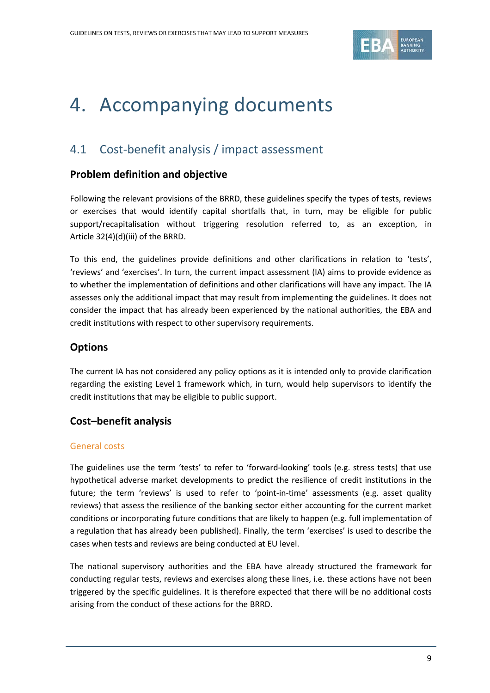

# 4. Accompanying documents

## 4.1 Cost-benefit analysis / impact assessment

### **Problem definition and objective**

Following the relevant provisions of the BRRD, these guidelines specify the types of tests, reviews or exercises that would identify capital shortfalls that, in turn, may be eligible for public support/recapitalisation without triggering resolution referred to, as an exception, in Article 32(4)(d)(iii) of the BRRD.

To this end, the guidelines provide definitions and other clarifications in relation to 'tests', 'reviews' and 'exercises'. In turn, the current impact assessment (IA) aims to provide evidence as to whether the implementation of definitions and other clarifications will have any impact. The IA assesses only the additional impact that may result from implementing the guidelines. It does not consider the impact that has already been experienced by the national authorities, the EBA and credit institutions with respect to other supervisory requirements.

## **Options**

The current IA has not considered any policy options as it is intended only to provide clarification regarding the existing Level 1 framework which, in turn, would help supervisors to identify the credit institutions that may be eligible to public support.

### **Cost–benefit analysis**

#### General costs

The guidelines use the term 'tests' to refer to 'forward-looking' tools (e.g. stress tests) that use hypothetical adverse market developments to predict the resilience of credit institutions in the future; the term 'reviews' is used to refer to 'point-in-time' assessments (e.g. asset quality reviews) that assess the resilience of the banking sector either accounting for the current market conditions or incorporating future conditions that are likely to happen (e.g. full implementation of a regulation that has already been published). Finally, the term 'exercises' is used to describe the cases when tests and reviews are being conducted at EU level.

The national supervisory authorities and the EBA have already structured the framework for conducting regular tests, reviews and exercises along these lines, i.e. these actions have not been triggered by the specific guidelines. It is therefore expected that there will be no additional costs arising from the conduct of these actions for the BRRD.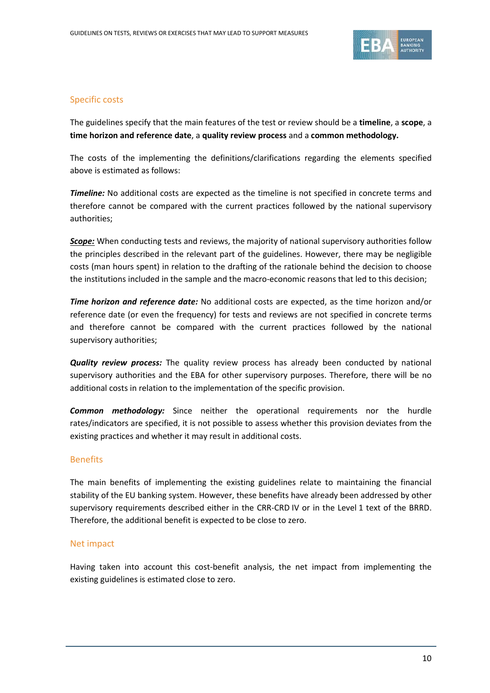

#### Specific costs

The guidelines specify that the main features of the test or review should be a **timeline**, a **scope**, a **time horizon and reference date**, a **quality review process** and a **common methodology.** 

The costs of the implementing the definitions/clarifications regarding the elements specified above is estimated as follows:

*Timeline:* No additional costs are expected as the timeline is not specified in concrete terms and therefore cannot be compared with the current practices followed by the national supervisory authorities;

*Scope:* When conducting tests and reviews, the majority of national supervisory authorities follow the principles described in the relevant part of the guidelines. However, there may be negligible costs (man hours spent) in relation to the drafting of the rationale behind the decision to choose the institutions included in the sample and the macro-economic reasons that led to this decision;

*Time horizon and reference date:* No additional costs are expected, as the time horizon and/or reference date (or even the frequency) for tests and reviews are not specified in concrete terms and therefore cannot be compared with the current practices followed by the national supervisory authorities;

*Quality review process:* The quality review process has already been conducted by national supervisory authorities and the EBA for other supervisory purposes. Therefore, there will be no additional costs in relation to the implementation of the specific provision.

*Common methodology:* Since neither the operational requirements nor the hurdle rates/indicators are specified, it is not possible to assess whether this provision deviates from the existing practices and whether it may result in additional costs.

### Benefits

The main benefits of implementing the existing guidelines relate to maintaining the financial stability of the EU banking system. However, these benefits have already been addressed by other supervisory requirements described either in the CRR-CRD IV or in the Level 1 text of the BRRD. Therefore, the additional benefit is expected to be close to zero.

#### Net impact

Having taken into account this cost-benefit analysis, the net impact from implementing the existing guidelines is estimated close to zero.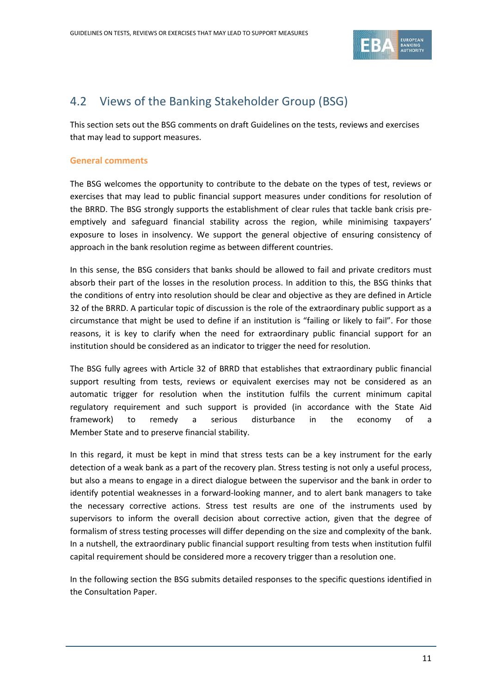

## 4.2 Views of the Banking Stakeholder Group (BSG)

This section sets out the BSG comments on draft Guidelines on the tests, reviews and exercises that may lead to support measures.

#### **General comments**

The BSG welcomes the opportunity to contribute to the debate on the types of test, reviews or exercises that may lead to public financial support measures under conditions for resolution of the BRRD. The BSG strongly supports the establishment of clear rules that tackle bank crisis preemptively and safeguard financial stability across the region, while minimising taxpayers' exposure to loses in insolvency. We support the general objective of ensuring consistency of approach in the bank resolution regime as between different countries.

In this sense, the BSG considers that banks should be allowed to fail and private creditors must absorb their part of the losses in the resolution process. In addition to this, the BSG thinks that the conditions of entry into resolution should be clear and objective as they are defined in Article 32 of the BRRD. A particular topic of discussion is the role of the extraordinary public support as a circumstance that might be used to define if an institution is "failing or likely to fail". For those reasons, it is key to clarify when the need for extraordinary public financial support for an institution should be considered as an indicator to trigger the need for resolution.

The BSG fully agrees with Article 32 of BRRD that establishes that extraordinary public financial support resulting from tests, reviews or equivalent exercises may not be considered as an automatic trigger for resolution when the institution fulfils the current minimum capital regulatory requirement and such support is provided (in accordance with the State Aid framework) to remedy a serious disturbance in the economy of a Member State and to preserve financial stability.

In this regard, it must be kept in mind that stress tests can be a key instrument for the early detection of a weak bank as a part of the recovery plan. Stress testing is not only a useful process, but also a means to engage in a direct dialogue between the supervisor and the bank in order to identify potential weaknesses in a forward-looking manner, and to alert bank managers to take the necessary corrective actions. Stress test results are one of the instruments used by supervisors to inform the overall decision about corrective action, given that the degree of formalism of stress testing processes will differ depending on the size and complexity of the bank. In a nutshell, the extraordinary public financial support resulting from tests when institution fulfil capital requirement should be considered more a recovery trigger than a resolution one.

In the following section the BSG submits detailed responses to the specific questions identified in the Consultation Paper.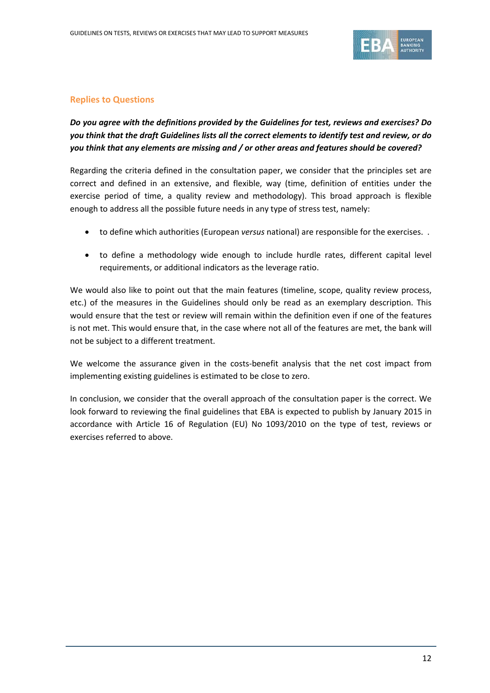

#### **Replies to Questions**

### *Do you agree with the definitions provided by the Guidelines for test, reviews and exercises? Do you think that the draft Guidelines lists all the correct elements to identify test and review, or do you think that any elements are missing and / or other areas and features should be covered?*

Regarding the criteria defined in the consultation paper, we consider that the principles set are correct and defined in an extensive, and flexible, way (time, definition of entities under the exercise period of time, a quality review and methodology). This broad approach is flexible enough to address all the possible future needs in any type of stress test, namely:

- to define which authorities (European *versus* national) are responsible for the exercises. .
- to define a methodology wide enough to include hurdle rates, different capital level requirements, or additional indicators as the leverage ratio.

We would also like to point out that the main features (timeline, scope, quality review process, etc.) of the measures in the Guidelines should only be read as an exemplary description. This would ensure that the test or review will remain within the definition even if one of the features is not met. This would ensure that, in the case where not all of the features are met, the bank will not be subject to a different treatment.

We welcome the assurance given in the costs-benefit analysis that the net cost impact from implementing existing guidelines is estimated to be close to zero.

In conclusion, we consider that the overall approach of the consultation paper is the correct. We look forward to reviewing the final guidelines that EBA is expected to publish by January 2015 in accordance with Article 16 of Regulation (EU) No 1093/2010 on the type of test, reviews or exercises referred to above.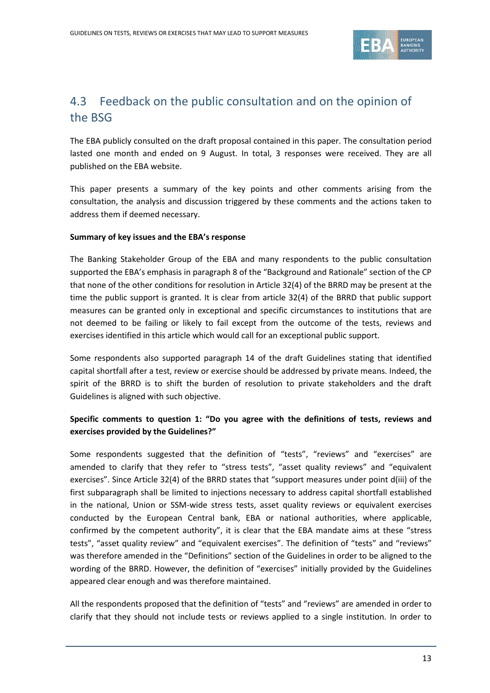

## 4.3 Feedback on the public consultation and on the opinion of the BSG

The EBA publicly consulted on the draft proposal contained in this paper. The consultation period lasted one month and ended on 9 August. In total, 3 responses were received. They are all published on the EBA website.

This paper presents a summary of the key points and other comments arising from the consultation, the analysis and discussion triggered by these comments and the actions taken to address them if deemed necessary.

#### **Summary of key issues and the EBA's response**

The Banking Stakeholder Group of the EBA and many respondents to the public consultation supported the EBA's emphasis in paragraph 8 of the "Background and Rationale" section of the CP that none of the other conditions for resolution in Article 32(4) of the BRRD may be present at the time the public support is granted. It is clear from article 32(4) of the BRRD that public support measures can be granted only in exceptional and specific circumstances to institutions that are not deemed to be failing or likely to fail except from the outcome of the tests, reviews and exercises identified in this article which would call for an exceptional public support.

Some respondents also supported paragraph 14 of the draft Guidelines stating that identified capital shortfall after a test, review or exercise should be addressed by private means. Indeed, the spirit of the BRRD is to shift the burden of resolution to private stakeholders and the draft Guidelines is aligned with such objective.

#### **Specific comments to question 1: "Do you agree with the definitions of tests, reviews and exercises provided by the Guidelines?"**

Some respondents suggested that the definition of "tests", "reviews" and "exercises" are amended to clarify that they refer to "stress tests", "asset quality reviews" and "equivalent exercises". Since Article 32(4) of the BRRD states that "support measures under point d(iii) of the first subparagraph shall be limited to injections necessary to address capital shortfall established in the national, Union or SSM-wide stress tests, asset quality reviews or equivalent exercises conducted by the European Central bank, EBA or national authorities, where applicable, confirmed by the competent authority", it is clear that the EBA mandate aims at these "stress tests", "asset quality review" and "equivalent exercises". The definition of "tests" and "reviews" was therefore amended in the "Definitions" section of the Guidelines in order to be aligned to the wording of the BRRD. However, the definition of "exercises" initially provided by the Guidelines appeared clear enough and was therefore maintained.

All the respondents proposed that the definition of "tests" and "reviews" are amended in order to clarify that they should not include tests or reviews applied to a single institution. In order to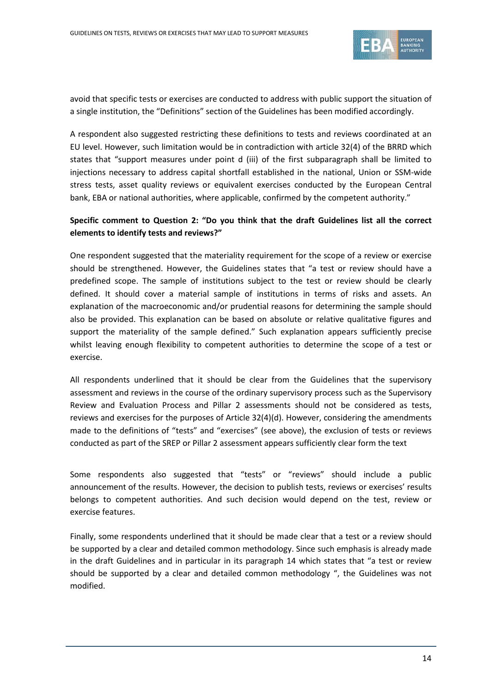

avoid that specific tests or exercises are conducted to address with public support the situation of a single institution, the "Definitions" section of the Guidelines has been modified accordingly.

A respondent also suggested restricting these definitions to tests and reviews coordinated at an EU level. However, such limitation would be in contradiction with article 32(4) of the BRRD which states that "support measures under point d (iii) of the first subparagraph shall be limited to injections necessary to address capital shortfall established in the national, Union or SSM-wide stress tests, asset quality reviews or equivalent exercises conducted by the European Central bank, EBA or national authorities, where applicable, confirmed by the competent authority."

#### **Specific comment to Question 2: "Do you think that the draft Guidelines list all the correct elements to identify tests and reviews?"**

One respondent suggested that the materiality requirement for the scope of a review or exercise should be strengthened. However, the Guidelines states that "a test or review should have a predefined scope. The sample of institutions subject to the test or review should be clearly defined. It should cover a material sample of institutions in terms of risks and assets. An explanation of the macroeconomic and/or prudential reasons for determining the sample should also be provided. This explanation can be based on absolute or relative qualitative figures and support the materiality of the sample defined." Such explanation appears sufficiently precise whilst leaving enough flexibility to competent authorities to determine the scope of a test or exercise.

All respondents underlined that it should be clear from the Guidelines that the supervisory assessment and reviews in the course of the ordinary supervisory process such as the Supervisory Review and Evaluation Process and Pillar 2 assessments should not be considered as tests, reviews and exercises for the purposes of Article 32(4)(d). However, considering the amendments made to the definitions of "tests" and "exercises" (see above), the exclusion of tests or reviews conducted as part of the SREP or Pillar 2 assessment appears sufficiently clear form the text

Some respondents also suggested that "tests" or "reviews" should include a public announcement of the results. However, the decision to publish tests, reviews or exercises' results belongs to competent authorities. And such decision would depend on the test, review or exercise features.

Finally, some respondents underlined that it should be made clear that a test or a review should be supported by a clear and detailed common methodology. Since such emphasis is already made in the draft Guidelines and in particular in its paragraph 14 which states that "a test or review should be supported by a clear and detailed common methodology ", the Guidelines was not modified.